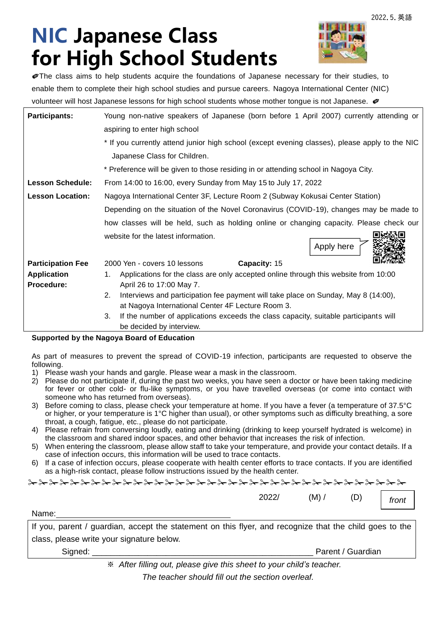# **NIC Japanese Class for High School Students**



✐The class aims to help students acquire the foundations of Japanese necessary for their studies, to enable them to complete their high school studies and pursue careers. Nagoya International Center (NIC) volunteer will host Japanese lessons for high school students whose mother tongue is not Japanese.  $\oslash$ 

| <b>Participants:</b>     | Young non-native speakers of Japanese (born before 1 April 2007) currently attending or                                                       |  |  |
|--------------------------|-----------------------------------------------------------------------------------------------------------------------------------------------|--|--|
|                          | aspiring to enter high school                                                                                                                 |  |  |
|                          | * If you currently attend junior high school (except evening classes), please apply to the NIC                                                |  |  |
|                          | Japanese Class for Children.                                                                                                                  |  |  |
|                          | * Preference will be given to those residing in or attending school in Nagoya City.                                                           |  |  |
| <b>Lesson Schedule:</b>  | From 14:00 to 16:00, every Sunday from May 15 to July 17, 2022                                                                                |  |  |
| <b>Lesson Location:</b>  | Nagoya International Center 3F, Lecture Room 2 (Subway Kokusai Center Station)                                                                |  |  |
|                          | Depending on the situation of the Novel Coronavirus (COVID-19), changes may be made to                                                        |  |  |
|                          | how classes will be held, such as holding online or changing capacity. Please check our                                                       |  |  |
|                          | website for the latest information.<br>Apply here                                                                                             |  |  |
| <b>Participation Fee</b> | Capacity: 15<br>2000 Yen - covers 10 lessons                                                                                                  |  |  |
| <b>Application</b>       | Applications for the class are only accepted online through this website from 10:00<br>1.                                                     |  |  |
| Procedure:               | April 26 to 17:00 May 7.                                                                                                                      |  |  |
|                          | 2.<br>Interviews and participation fee payment will take place on Sunday, May 8 (14:00),<br>at Nagoya International Center 4F Lecture Room 3. |  |  |
|                          | 3.                                                                                                                                            |  |  |
|                          | If the number of applications exceeds the class capacity, suitable participants will<br>be decided by interview.                              |  |  |
|                          |                                                                                                                                               |  |  |

**Supported by the Nagoya Board of Education**

As part of measures to prevent the spread of COVID-19 infection, participants are requested to observe the following.

- 1) Please wash your hands and gargle. Please wear a mask in the classroom.
- 2) Please do not participate if, during the past two weeks, you have seen a doctor or have been taking medicine for fever or other cold- or flu-like symptoms, or you have travelled overseas (or come into contact with someone who has returned from overseas).
- 3) Before coming to class, please check your temperature at home. If you have a fever (a temperature of 37.5°C or higher, or your temperature is 1°C higher than usual), or other symptoms such as difficulty breathing, a sore throat, a cough, fatigue, etc., please do not participate.
- 4) Please refrain from conversing loudly, eating and drinking (drinking to keep yourself hydrated is welcome) in the classroom and shared indoor spaces, and other behavior that increases the risk of infection.
- 5) When entering the classroom, please allow staff to take your temperature, and provide your contact details. If a case of infection occurs, this information will be used to trace contacts.
- 6) If a case of infection occurs, please cooperate with health center efforts to trace contacts. If you are identified as a high-risk contact, please follow instructions issued by the health center.

✁✁✁✁✁✁✁✁✁✁✁✁✁✁✁✁✁✁✁✁✁✁✁✁✁✁✁✁✁✁✁✁✁✁✁✁

2022/ (M) / (D)

*front*

Name:

If you, parent / guardian, accept the statement on this flyer, and recognize that the child goes to the class, please write your signature below.

Signed: \_\_\_\_\_\_\_\_\_\_\_\_\_\_\_\_\_\_\_\_\_\_\_\_\_\_\_\_\_\_\_\_\_\_\_\_\_\_\_\_\_\_\_\_\_\_\_\_ Parent / Guardian

※ *After filling out, please give this sheet to your child's teacher.*

*The teacher should fill out the section overleaf.*